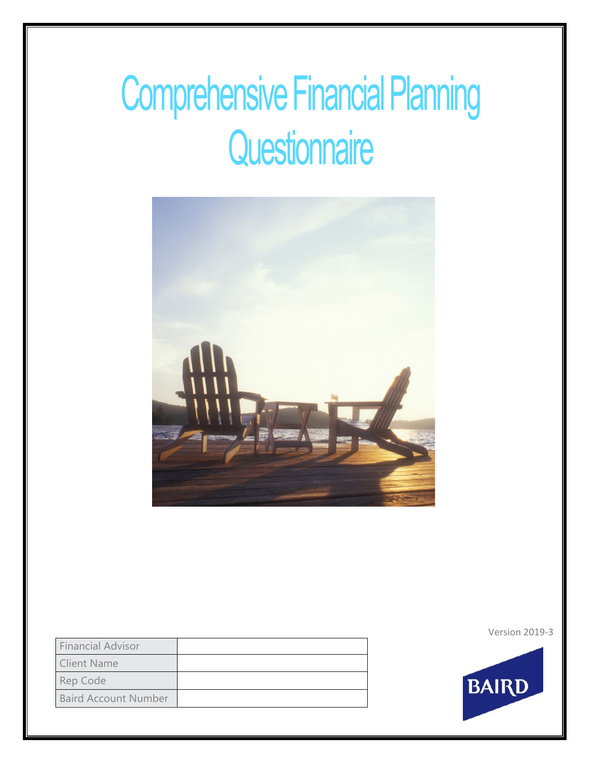# Comprehensive Financial Planning **Questionnaire**



Financial Advisor Client Name Rep Code Baird Account Number Version 2019-3

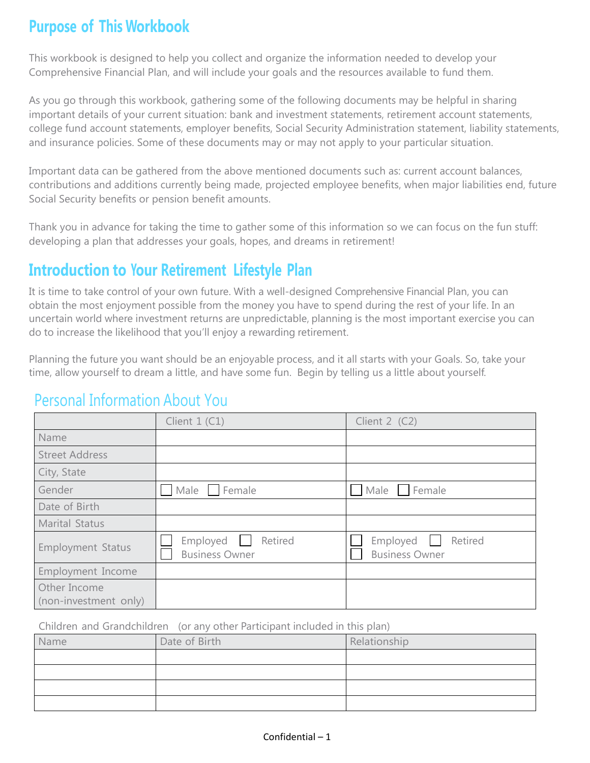### **Purpose of This Workbook**

This workbook is designed to help you collect and organize the information needed to develop your Comprehensive Financial Plan, and will include your goals and the resources available to fund them.

As you go through this workbook, gathering some of the following documents may be helpful in sharing important details of your current situation: bank and investment statements, retirement account statements, college fund account statements, employer benefits, Social Security Administration statement, liability statements, and insurance policies. Some of these documents may or may not apply to your particular situation.

Important data can be gathered from the above mentioned documents such as: current account balances, contributions and additions currently being made, projected employee benefits, when major liabilities end, future Social Security benefits or pension benefit amounts.

Thank you in advance for taking the time to gather some of this information so we can focus on the fun stuff: developing a plan that addresses your goals, hopes, and dreams in retirement!

### **Introduction to Your Retirement Lifestyle Plan**

It is time to take control of your own future. With a well-designed Comprehensive Financial Plan, you can obtain the most enjoyment possible from the money you have to spend during the rest of your life. In an uncertain world where investment returns are unpredictable, planning is the most important exercise you can do to increase the likelihood that you'll enjoy a rewarding retirement.

Planning the future you want should be an enjoyable process, and it all starts with your Goals. So, take your time, allow yourself to dream a little, and have some fun. Begin by telling us a little about yourself.

### Personal Information About You

|                                       | Client $1$ (C1)                              | Client $2$ (C2)                              |
|---------------------------------------|----------------------------------------------|----------------------------------------------|
| Name                                  |                                              |                                              |
| <b>Street Address</b>                 |                                              |                                              |
| City, State                           |                                              |                                              |
| Gender                                | Male<br>Female                               | Male<br>Female                               |
| Date of Birth                         |                                              |                                              |
| <b>Marital Status</b>                 |                                              |                                              |
| <b>Employment Status</b>              | Employed<br>Retired<br><b>Business Owner</b> | Retired<br>Employed<br><b>Business Owner</b> |
| Employment Income                     |                                              |                                              |
| Other Income<br>(non-investment only) |                                              |                                              |

Children and Grandchildren (or any other Participant included in this plan)

| Name | Date of Birth | Relationship |
|------|---------------|--------------|
|      |               |              |
|      |               |              |
|      |               |              |
|      |               |              |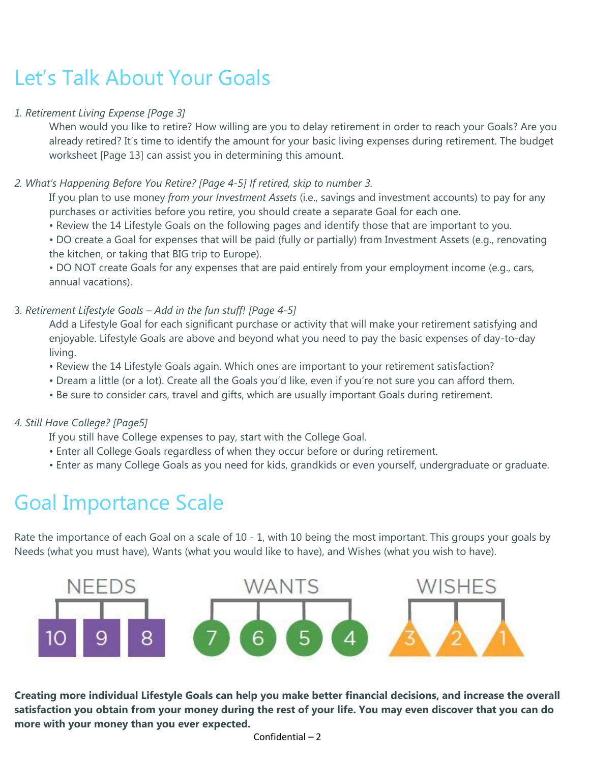# Let's Talk About Your Goals

#### *1. Retirement Living Expense [Page 3]*

When would you like to retire? How willing are you to delay retirement in order to reach your Goals? Are you already retired? It's time to identify the amount for your basic living expenses during retirement. The budget worksheet [Page 13] can assist you in determining this amount.

### *2. What's Happening Before You Retire? [Page 4-5] If retired, skip to number 3.*

If you plan to use money *from your Investment Assets* (i.e., savings and investment accounts) to pay for any purchases or activities before you retire, you should create a separate Goal for each one.

• Review the 14 Lifestyle Goals on the following pages and identify those that are important to you.

• DO create a Goal for expenses that will be paid (fully or partially) from Investment Assets (e.g., renovating the kitchen, or taking that BIG trip to Europe).

• DO NOT create Goals for any expenses that are paid entirely from your employment income (e.g., cars, annual vacations).

#### 3*. Retirement Lifestyle Goals – Add in the fun stuff! [Page 4-5]*

Add a Lifestyle Goal for each significant purchase or activity that will make your retirement satisfying and enjoyable. Lifestyle Goals are above and beyond what you need to pay the basic expenses of day-to-day living.

- Review the 14 Lifestyle Goals again. Which ones are important to your retirement satisfaction?
- Dream a little (or a lot). Create all the Goals you'd like, even if you're not sure you can afford them.
- Be sure to consider cars, travel and gifts, which are usually important Goals during retirement.

### *4. Still Have College? [Page5]*

If you still have College expenses to pay, start with the College Goal.

- Enter all College Goals regardless of when they occur before or during retirement.
- Enter as many College Goals as you need for kids, grandkids or even yourself, undergraduate or graduate.

# Goal Importance Scale

Rate the importance of each Goal on a scale of 10 - 1, with 10 being the most important. This groups your goals by Needs (what you must have), Wants (what you would like to have), and Wishes (what you wish to have).



**Creating more individual Lifestyle Goals can help you make better financial decisions, and increase the overall satisfaction you obtain from your money during the rest of your life. You may even discover that you can do more with your money than you ever expected.**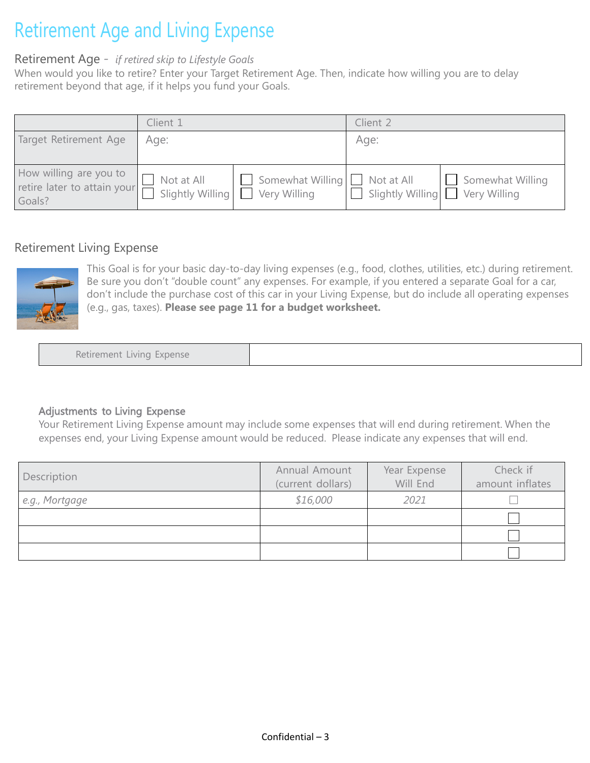# Retirement Age and Living Expense

### Retirement Age *- if retired skip to Lifestyle Goals*

When would you like to retire? Enter your Target Retirement Age. Then, indicate how willing you are to delay retirement beyond that age, if it helps you fund your Goals.

|                                                                 | Client 1     |                                                                              | Client 2                        |                  |  |
|-----------------------------------------------------------------|--------------|------------------------------------------------------------------------------|---------------------------------|------------------|--|
| Target Retirement Age                                           | Age:         |                                                                              | Age:                            |                  |  |
| How willing are you to<br>retire later to attain your<br>Goals? | I Not at All | $\Box$ Somewhat Willing $\Box$ Not at All<br>Slightly Willing   Very Willing | Slightly Willing   Very Willing | Somewhat Willing |  |

### Retirement Living Expense



This Goal is for your basic day-to-day living expenses (e.g., food, clothes, utilities, etc.) during retirement. Be sure you don't "double count" any expenses. For example, if you entered a separate Goal for a car, don't include the purchase cost of this car in your Living Expense, but do include all operating expenses (e.g., gas, taxes). **Please see page 11 for a budget worksheet.**

Retirement Living Expense

#### Adjustments to Living Expense

Your Retirement Living Expense amount may include some expenses that will end during retirement. When the expenses end, your Living Expense amount would be reduced. Please indicate any expenses that will end.

| Description    | Annual Amount<br>(current dollars) | Year Expense<br>Will End | Check if<br>amount inflates |
|----------------|------------------------------------|--------------------------|-----------------------------|
| e.g., Mortgage | \$16,000                           | 2021                     |                             |
|                |                                    |                          |                             |
|                |                                    |                          |                             |
|                |                                    |                          |                             |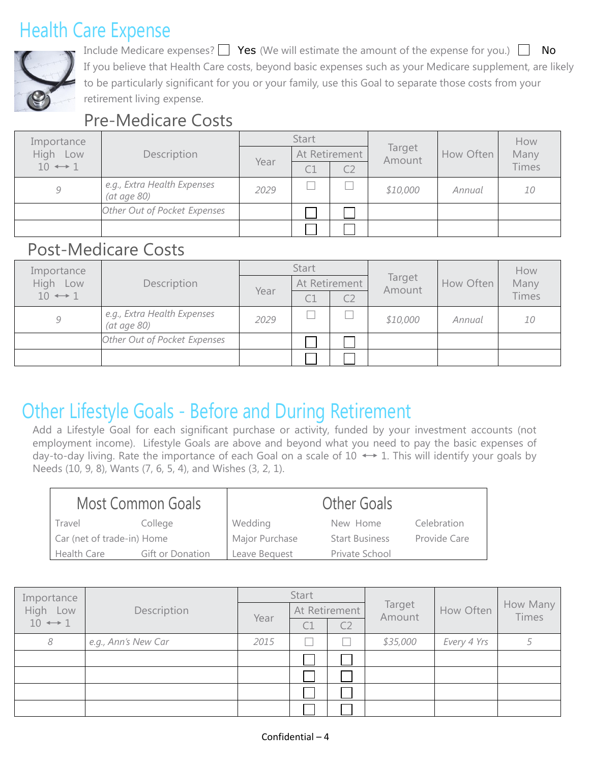# Health Care Expense



Include Medicare expenses?  $\Box$  Yes (We will estimate the amount of the expense for you.)  $\Box$  No If you believe that Health Care costs, beyond basic expenses such as your Medicare supplement, are likely to be particularly significant for you or your family, use this Goal to separate those costs from your retirement living expense.

### Pre-Medicare Costs

| Importance             |                                                    |      | <b>Start</b>   |                |                  |           | How          |  |
|------------------------|----------------------------------------------------|------|----------------|----------------|------------------|-----------|--------------|--|
| High<br>Low            | Description                                        | Year | At Retirement  |                | Target<br>Amount | How Often | Many         |  |
| $10 \leftrightarrow 1$ |                                                    |      | $\subset \top$ | C <sub>2</sub> |                  |           | <b>Times</b> |  |
| Q.                     | e.g., Extra Health Expenses<br>$(at \, age \, 80)$ | 2029 |                |                | \$10,000         | Annual    | 10           |  |
|                        | Other Out of Pocket Expenses                       |      |                |                |                  |           |              |  |
|                        |                                                    |      |                |                |                  |           |              |  |

### Post-Medicare Costs

| Importance             |                                            |      | <b>Start</b>  |  |                  |           | How          |  |
|------------------------|--------------------------------------------|------|---------------|--|------------------|-----------|--------------|--|
| <b>High</b><br>Low     | Description                                |      | At Retirement |  | Target<br>Amount | How Often | Many         |  |
| $10 \leftrightarrow 1$ |                                            | Year | C1            |  |                  |           | <b>Times</b> |  |
| 9                      | e.g., Extra Health Expenses<br>(at age 80) | 2029 |               |  | \$10,000         | Annual    | 10           |  |
|                        | Other Out of Pocket Expenses               |      |               |  |                  |           |              |  |
|                        |                                            |      |               |  |                  |           |              |  |

# Other Lifestyle Goals - Before and During Retirement

Add a Lifestyle Goal for each significant purchase or activity, funded by your investment accounts (not employment income). Lifestyle Goals are above and beyond what you need to pay the basic expenses of day-to-day living. Rate the importance of each Goal on a scale of  $10 \leftrightarrow 1$ . This will identify your goals by Needs (10, 9, 8), Wants (7, 6, 5, 4), and Wishes (3, 2, 1).

| <b>Most Common Goals</b>   |                  |                | <b>Other Goals</b>    |              |
|----------------------------|------------------|----------------|-----------------------|--------------|
| Travel                     | College          | Wedding        | New Home              | Celebration  |
| Car (net of trade-in) Home |                  | Major Purchase | <b>Start Business</b> | Provide Care |
| <b>Health Care</b>         | Gift or Donation | Leave Bequest  | Private School        |              |

| Importance             |                     |      | Start         |                |                  |             |                          |  |
|------------------------|---------------------|------|---------------|----------------|------------------|-------------|--------------------------|--|
| High<br>Low            | Description         |      | At Retirement |                | Target<br>Amount | How Often   | How Many<br><b>Times</b> |  |
| $10 \leftrightarrow 1$ | Year                |      | C1            | C <sub>2</sub> |                  |             |                          |  |
| 8                      | e.g., Ann's New Car | 2015 |               |                | \$35,000         | Every 4 Yrs |                          |  |
|                        |                     |      |               |                |                  |             |                          |  |
|                        |                     |      |               |                |                  |             |                          |  |
|                        |                     |      |               |                |                  |             |                          |  |
|                        |                     |      |               |                |                  |             |                          |  |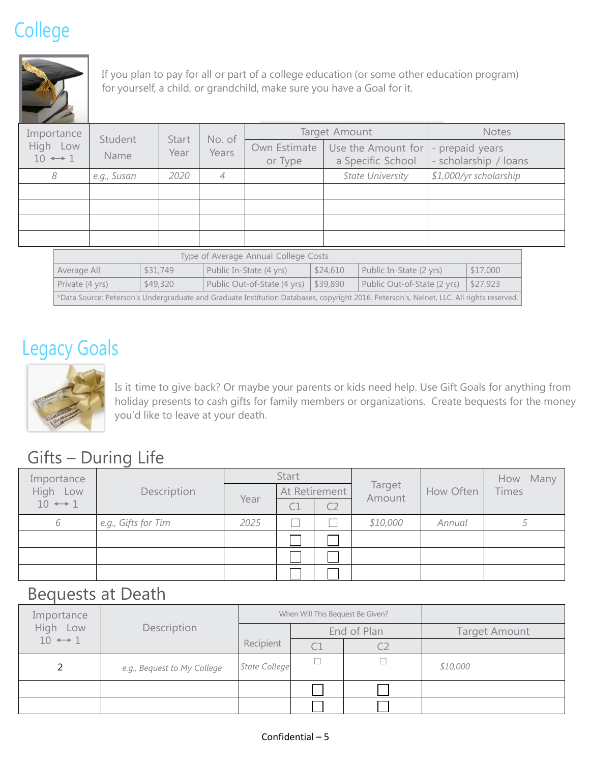# College



If you plan to pay for all or part of a college education (or some other education program) for yourself, a child, or grandchild, make sure you have a Goal for it.

| Importance                           | No. of<br>Student                     |                         |   | Target Amount                           |                  |                                          | <b>Notes</b> |          |  |                        |
|--------------------------------------|---------------------------------------|-------------------------|---|-----------------------------------------|------------------|------------------------------------------|--------------|----------|--|------------------------|
| High Low<br>$10 \leftrightarrow 1$   | <b>Start</b><br>Years<br>Year<br>Name | Own Estimate<br>or Type |   | Use the Amount for<br>a Specific School |                  | - prepaid years<br>- scholarship / loans |              |          |  |                        |
| 8                                    | e.g., Susan                           | 2020                    | 4 |                                         | State University |                                          |              |          |  | \$1,000/yr scholarship |
|                                      |                                       |                         |   |                                         |                  |                                          |              |          |  |                        |
|                                      |                                       |                         |   |                                         |                  |                                          |              |          |  |                        |
|                                      |                                       |                         |   |                                         |                  |                                          |              |          |  |                        |
|                                      |                                       |                         |   |                                         |                  |                                          |              |          |  |                        |
| Type of Average Annual College Costs |                                       |                         |   |                                         |                  |                                          |              |          |  |                        |
|                                      | Average All                           | \$31,749                |   | Public In-State (4 yrs)                 | \$24,610         | Public In-State (2 yrs)                  |              | \$17,000 |  |                        |

| Average All                                                                                                                              | \$31,749 | Public In-State (4 yrs)                                      | \$24,610 | Public In-State (2 yrs)                          | \$17,000 |  |  |  |
|------------------------------------------------------------------------------------------------------------------------------------------|----------|--------------------------------------------------------------|----------|--------------------------------------------------|----------|--|--|--|
| Private (4 yrs)                                                                                                                          | \$49,320 | Public Out-of-State $(4 \text{ yrs})$ $\frac{1}{3}$ \$39,890 |          | Public Out-of-State $(2 \text{ yrs})$   \$27,923 |          |  |  |  |
| *Data Source: Peterson's Undergraduate and Graduate Institution Databases, copyright 2016. Peterson's, Nelnet, LLC. All rights reserved. |          |                                                              |          |                                                  |          |  |  |  |

# Legacy Goals



Is it time to give back? Or maybe your parents or kids need help. Use Gift Goals for anything from holiday presents to cash gifts for family members or organizations. Create bequests for the money you'd like to leave at your death.

### Gifts – During Life

| Importance             |                     | Start |               |                |                  |           | How Many |
|------------------------|---------------------|-------|---------------|----------------|------------------|-----------|----------|
| <b>High</b><br>Low     | Description         | Year  | At Retirement |                | Target<br>Amount | How Often | Times    |
| $10 \leftrightarrow 1$ |                     |       |               | C <sub>2</sub> |                  |           |          |
| 6                      | e.g., Gifts for Tim | 2025  |               |                | \$10,000         | Annual    |          |
|                        |                     |       |               |                |                  |           |          |
|                        |                     |       |               |                |                  |           |          |
|                        |                     |       |               |                |                  |           |          |

### Bequests at Death

| Importance              |                             |                      | When Will This Bequest Be Given? |             |                      |
|-------------------------|-----------------------------|----------------------|----------------------------------|-------------|----------------------|
| High Low<br>Description |                             |                      |                                  | End of Plan | <b>Target Amount</b> |
| $10 \leftrightarrow 1$  |                             | Recipient            |                                  |             |                      |
|                         | e.g., Bequest to My College | <b>State College</b> |                                  |             | \$10,000             |
|                         |                             |                      |                                  |             |                      |
|                         |                             |                      |                                  |             |                      |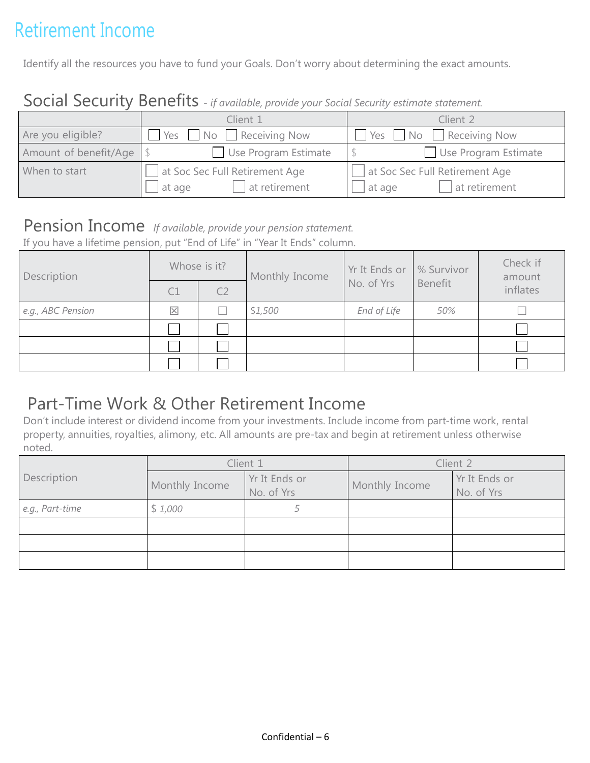# Retirement Income

Identify all the resources you have to fund your Goals. Don't worry about determining the exact amounts.

### Social Security Benefits *- if available, provide your Social Security estimate statement.*

|                       | Client 1                       | Client 2                       |
|-----------------------|--------------------------------|--------------------------------|
| Are you eligible?     | No Receiving Now<br>Yes        | No Receiving Now<br>Yes        |
| Amount of benefit/Age | Use Program Estimate           | Use Program Estimate           |
| When to start         | at Soc Sec Full Retirement Age | at Soc Sec Full Retirement Age |
|                       | at retirement<br>at age        | at retirement<br>at age        |

### Pension Income *If available, provide your pension statement.*

If you have a lifetime pension, put "End of Life" in "Year It Ends" column.

| Description       | Whose is it? |                | Monthly Income | Yr It Ends or | % Survivor | Check if<br>amount |
|-------------------|--------------|----------------|----------------|---------------|------------|--------------------|
|                   |              | C <sub>2</sub> |                | No. of Yrs    | Benefit    | inflates           |
| e.g., ABC Pension | $\boxtimes$  |                | \$1,500        | End of Life   | 50%        |                    |
|                   |              |                |                |               |            |                    |
|                   |              |                |                |               |            |                    |
|                   |              |                |                |               |            |                    |

### Part-Time Work & Other Retirement Income

Don't include interest or dividend income from your investments. Include income from part-time work, rental property, annuities, royalties, alimony, etc. All amounts are pre-tax and begin at retirement unless otherwise noted.

| Description     |                | Client 1                    | Client 2       |                             |  |
|-----------------|----------------|-----------------------------|----------------|-----------------------------|--|
|                 | Monthly Income | Yr It Ends or<br>No. of Yrs | Monthly Income | Yr It Ends or<br>No. of Yrs |  |
| e.g., Part-time | \$1,000        |                             |                |                             |  |
|                 |                |                             |                |                             |  |
|                 |                |                             |                |                             |  |
|                 |                |                             |                |                             |  |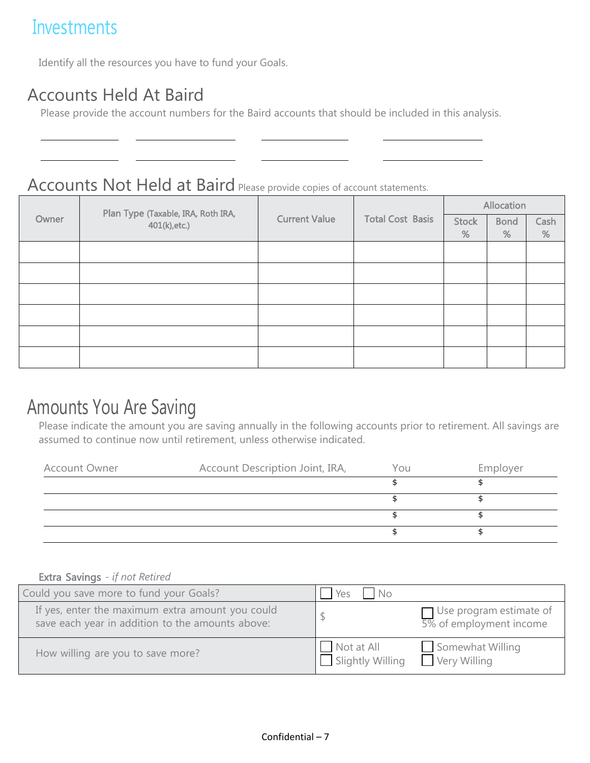# **Investments**

Identify all the resources you have to fund your Goals.

### Accounts Held At Baird

Please provide the account numbers for the Baird accounts that should be included in this analysis.

### Accounts Not Held at Baird Please provide copies of account statements.

|       | Plan Type (Taxable, IRA, Roth IRA, |                      |                         | Allocation   |             |      |  |
|-------|------------------------------------|----------------------|-------------------------|--------------|-------------|------|--|
| Owner | 401(k), etc.)                      | <b>Current Value</b> | <b>Total Cost Basis</b> | <b>Stock</b> | <b>Bond</b> | Cash |  |
|       |                                    |                      |                         | %            | %           | %    |  |
|       |                                    |                      |                         |              |             |      |  |
|       |                                    |                      |                         |              |             |      |  |
|       |                                    |                      |                         |              |             |      |  |
|       |                                    |                      |                         |              |             |      |  |
|       |                                    |                      |                         |              |             |      |  |
|       |                                    |                      |                         |              |             |      |  |

# Amounts You Are Saving

Please indicate the amount you are saving annually in the following accounts prior to retirement. All savings are assumed to continue now until retirement, unless otherwise indicated.

| <b>Account Owner</b> | Account Description Joint, IRA, | You | Employer |
|----------------------|---------------------------------|-----|----------|
|                      |                                 |     |          |
|                      |                                 |     |          |
|                      |                                 |     |          |
|                      |                                 |     |          |

#### Extra Savings *- if not Retired*

| Could you save more to fund your Goals?                                                              | Yes<br>No.                     |                                                           |
|------------------------------------------------------------------------------------------------------|--------------------------------|-----------------------------------------------------------|
| If yes, enter the maximum extra amount you could<br>save each year in addition to the amounts above: |                                | $\Box$ Use program estimate of<br>5% of employment income |
| How willing are you to save more?                                                                    | Not at All<br>Slightly Willing | Somewhat Willing<br>Very Willing                          |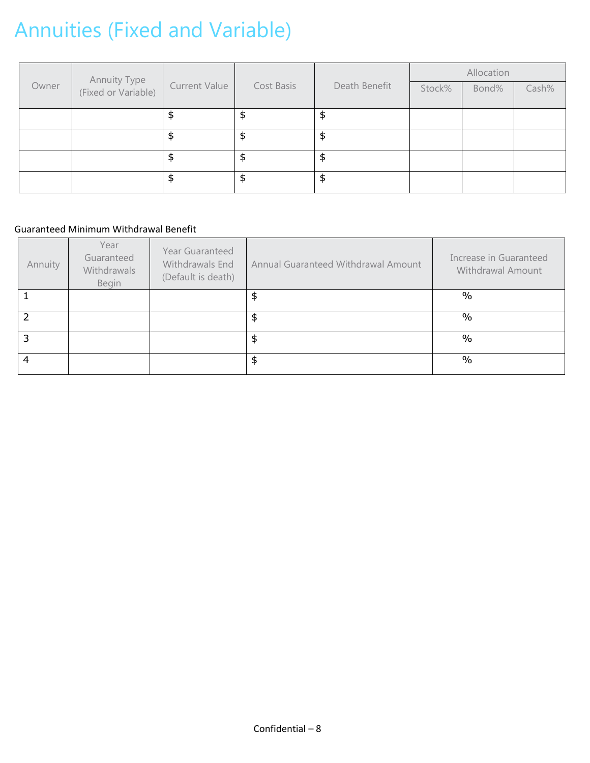# Annuities (Fixed and Variable)

|       |                                     |                      |               |               | Allocation |       |       |  |
|-------|-------------------------------------|----------------------|---------------|---------------|------------|-------|-------|--|
| Owner | Annuity Type<br>(Fixed or Variable) | <b>Current Value</b> | Cost Basis    | Death Benefit | Stock%     | Bond% | Cash% |  |
|       |                                     | \$                   | \$            | \$            |            |       |       |  |
|       |                                     | \$                   | $\frac{4}{5}$ | \$            |            |       |       |  |
|       |                                     | \$                   | $\frac{1}{2}$ | \$            |            |       |       |  |
|       |                                     | \$                   | \$            | \$            |            |       |       |  |

#### Guaranteed Minimum Withdrawal Benefit

| Annuity | Year<br>Guaranteed<br>Withdrawals<br>Begin | Year Guaranteed<br>Withdrawals End<br>(Default is death) | Annual Guaranteed Withdrawal Amount | Increase in Guaranteed<br>Withdrawal Amount |
|---------|--------------------------------------------|----------------------------------------------------------|-------------------------------------|---------------------------------------------|
|         |                                            |                                                          | \$                                  | $\frac{0}{0}$                               |
| 2       |                                            |                                                          | \$                                  | $\frac{0}{0}$                               |
| 3       |                                            |                                                          | \$                                  | $\frac{0}{0}$                               |
| 4       |                                            |                                                          | \$                                  | $\frac{0}{0}$                               |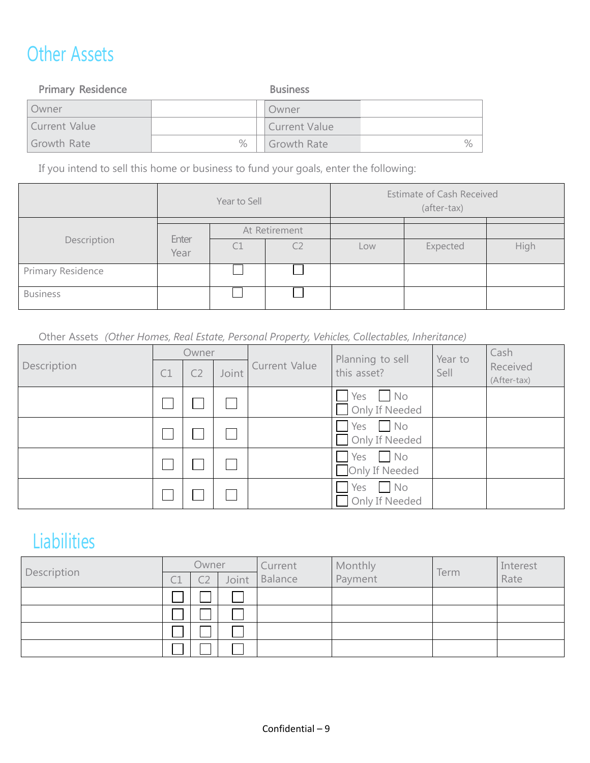# Other Assets

| <b>Primary Residence</b> |   | <b>Business</b>      |      |  |
|--------------------------|---|----------------------|------|--|
| Owner                    |   | Owner                |      |  |
| Current Value            |   | <b>Current Value</b> |      |  |
| Growth Rate              | % | Growth Rate          | $\%$ |  |

If you intend to sell this home or business to fund your goals, enter the following:

|                   |               | Year to Sell  |                |     | <b>Estimate of Cash Received</b><br>(after-tax) |      |
|-------------------|---------------|---------------|----------------|-----|-------------------------------------------------|------|
| Description       |               | At Retirement |                |     |                                                 |      |
|                   | Enter<br>Year | С1            | C <sub>2</sub> | Low | Expected                                        | High |
| Primary Residence |               |               |                |     |                                                 |      |
| <b>Business</b>   |               |               |                |     |                                                 |      |

Other Assets *(Other Homes, Real Estate, Personal Property, Vehicles, Collectables, Inheritance)*

|             | Owner |                |       |                      | Planning to sell                                            | Year to | Cash                    |
|-------------|-------|----------------|-------|----------------------|-------------------------------------------------------------|---------|-------------------------|
| Description | C1    | C <sub>2</sub> | Joint | <b>Current Value</b> | this asset?                                                 | Sell    | Received<br>(After-tax) |
|             |       |                |       |                      | Yes<br>N <sub>O</sub><br>Only If Needed<br>$\sim$           |         |                         |
|             |       |                |       |                      | Yes<br>$\blacksquare$ No<br>Only If Needed<br>$\mathcal{L}$ |         |                         |
|             |       |                |       |                      | Yes<br>$\Box$ No<br>Only If Needed                          |         |                         |
|             |       |                |       |                      | Yes<br>$\blacksquare$ No<br>Only If Needed                  |         |                         |

# **Liabilities**

| Description | Owner |  |              | Current | Monthly | Term | Interest |
|-------------|-------|--|--------------|---------|---------|------|----------|
|             |       |  | <b>Joint</b> | Balance | Payment |      | Rate     |
|             |       |  |              |         |         |      |          |
|             |       |  |              |         |         |      |          |
|             |       |  |              |         |         |      |          |
|             |       |  |              |         |         |      |          |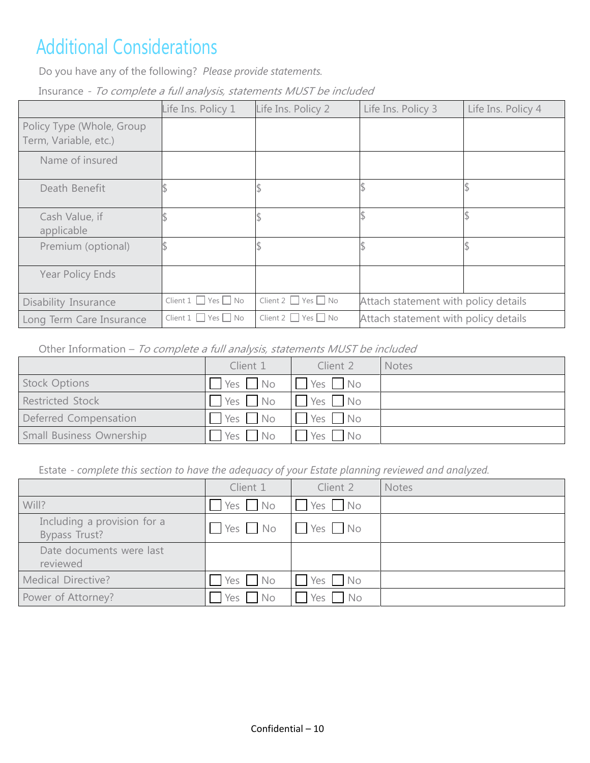# Additional Considerations

Do you have any of the following? *Please provide statements.*

Insurance *-* To complete a full analysis, statements MUST be included

|                                                    | Life Ins. Policy 1                  | Life Ins. Policy 2                  | Life Ins. Policy 3                   | Life Ins. Policy 4 |  |
|----------------------------------------------------|-------------------------------------|-------------------------------------|--------------------------------------|--------------------|--|
| Policy Type (Whole, Group<br>Term, Variable, etc.) |                                     |                                     |                                      |                    |  |
| Name of insured                                    |                                     |                                     |                                      |                    |  |
| Death Benefit                                      |                                     |                                     |                                      |                    |  |
| Cash Value, if<br>applicable                       |                                     |                                     |                                      |                    |  |
| Premium (optional)                                 |                                     |                                     |                                      |                    |  |
| Year Policy Ends                                   |                                     |                                     |                                      |                    |  |
| Disability Insurance                               | Client $1 \square$ Yes $\square$ No | Client 2 $\Box$ Yes $\Box$ No       | Attach statement with policy details |                    |  |
| Long Term Care Insurance                           | Client 1   Yes   No                 | Client $2 \square$ Yes $\square$ No | Attach statement with policy details |                    |  |

Other Information - To complete a full analysis, statements MUST be included

|                          | Client 1   | Client 2 | <b>Notes</b> |
|--------------------------|------------|----------|--------------|
| <b>Stock Options</b>     | Yes No     | Yes No   |              |
| <b>Restricted Stock</b>  | Yes No     | Yes No   |              |
| Deferred Compensation    | $Yes$ $No$ | Yes No   |              |
| Small Business Ownership | $Yes$ $No$ | Yes No   |              |

Estate *- complete this section to have the adequacy of your Estate planning reviewed and analyzed.*

|                                              | Client 1             | Client 2     | <b>Notes</b> |
|----------------------------------------------|----------------------|--------------|--------------|
| Will?                                        | Yes No               | Yes No       |              |
| Including a provision for a<br>Bypass Trust? | $\Box$ Yes $\Box$ No | $Yes$ No     |              |
| Date documents were last<br>reviewed         |                      |              |              |
| <b>Medical Directive?</b>                    | $Yes \tNo$           | Yes No       |              |
| Power of Attorney?                           | Yes No               | Yes  <br>No. |              |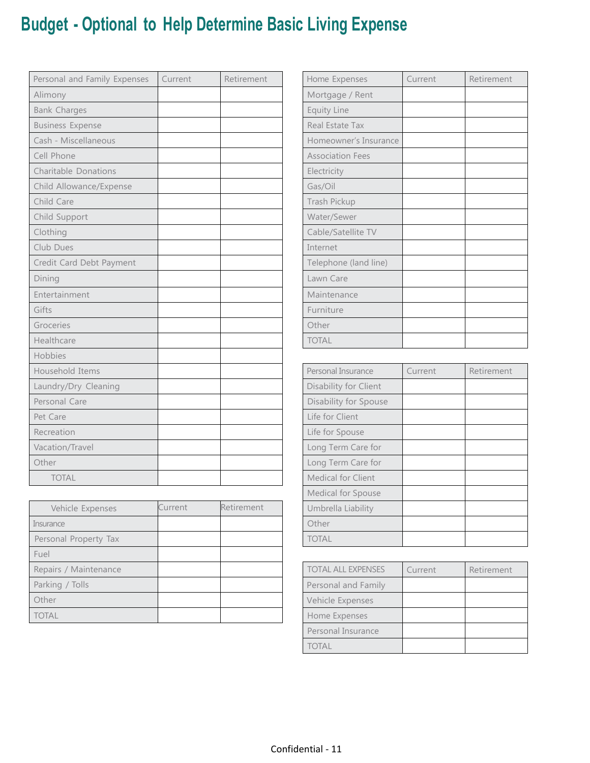# **Budget - Optional to Help Determine Basic Living Expense**

| Personal and Family Expenses | Current | Retirement | Home Expenses           | Current | Retirement |
|------------------------------|---------|------------|-------------------------|---------|------------|
| Alimony                      |         |            | Mortgage / Rent         |         |            |
| <b>Bank Charges</b>          |         |            | <b>Equity Line</b>      |         |            |
| <b>Business Expense</b>      |         |            | Real Estate Tax         |         |            |
| Cash - Miscellaneous         |         |            | Homeowner's Insurance   |         |            |
| Cell Phone                   |         |            | <b>Association Fees</b> |         |            |
| Charitable Donations         |         |            | Electricity             |         |            |
| Child Allowance/Expense      |         |            | Gas/Oil                 |         |            |
| Child Care                   |         |            | Trash Pickup            |         |            |
| Child Support                |         |            | Water/Sewer             |         |            |
| Clothing                     |         |            | Cable/Satellite TV      |         |            |
| Club Dues                    |         |            | Internet                |         |            |
| Credit Card Debt Payment     |         |            | Telephone (land line)   |         |            |
| Dining                       |         |            | Lawn Care               |         |            |
| Entertainment                |         |            | Maintenance             |         |            |
| Gifts                        |         |            | Furniture               |         |            |
| Groceries                    |         |            | Other                   |         |            |
| Healthcare                   |         |            | <b>TOTAL</b>            |         |            |
| Hobbies                      |         |            |                         |         |            |
| Household Items              |         |            | Personal Insurance      | Current | Retirement |
| Laundry/Dry Cleaning         |         |            | Disability for Client   |         |            |
| Personal Care                |         |            | Disability for Spouse   |         |            |
| Pet Care                     |         |            | Life for Client         |         |            |
| Recreation                   |         |            | Life for Spouse         |         |            |
| Vacation/Travel              |         |            | Long Term Care for      |         |            |
| Other                        |         |            | Long Term Care for      |         |            |
| <b>TOTAL</b>                 |         |            | Medical for Client      |         |            |

| Vehicle Expenses      | Current | Retirement | Umbrella Liability        |         |            |
|-----------------------|---------|------------|---------------------------|---------|------------|
| Insurance             |         |            | Other                     |         |            |
| Personal Property Tax |         |            | <b>TOTAL</b>              |         |            |
| Fuel                  |         |            |                           |         |            |
| Repairs / Maintenance |         |            | <b>TOTAL ALL EXPENSES</b> | Current | Retirement |
| Parking / Tolls       |         |            | Personal and Family       |         |            |
| Other                 |         |            | Vehicle Expenses          |         |            |
| <b>TOTAL</b>          |         |            | Home Expenses             |         |            |

| Home Expenses           | Current | Retirement |
|-------------------------|---------|------------|
| Mortgage / Rent         |         |            |
| Equity Line             |         |            |
| Real Estate Tax         |         |            |
| Homeowner's Insurance   |         |            |
| <b>Association Fees</b> |         |            |
| Electricity             |         |            |
| Gas/Oil                 |         |            |
| Trash Pickup            |         |            |
| Water/Sewer             |         |            |
| Cable/Satellite TV      |         |            |
| Internet                |         |            |
| Telephone (land line)   |         |            |
| Lawn Care               |         |            |
| Maintenance             |         |            |
| Furniture               |         |            |
| Other                   |         |            |
| <b>TOTAL</b>            |         |            |

| Personal Insurance    | Current | Retirement |
|-----------------------|---------|------------|
| Disability for Client |         |            |
| Disability for Spouse |         |            |
| Life for Client       |         |            |
| Life for Spouse       |         |            |
| Long Term Care for    |         |            |
| Long Term Care for    |         |            |
| Medical for Client    |         |            |
| Medical for Spouse    |         |            |
| Umbrella Liability    |         |            |
| Other                 |         |            |
| <b>TOTAL</b>          |         |            |

| <b>TOTAL ALL EXPENSES</b> | Current | Retirement |
|---------------------------|---------|------------|
| Personal and Family       |         |            |
| Vehicle Expenses          |         |            |
| Home Expenses             |         |            |
| Personal Insurance        |         |            |
| <b>TOTAL</b>              |         |            |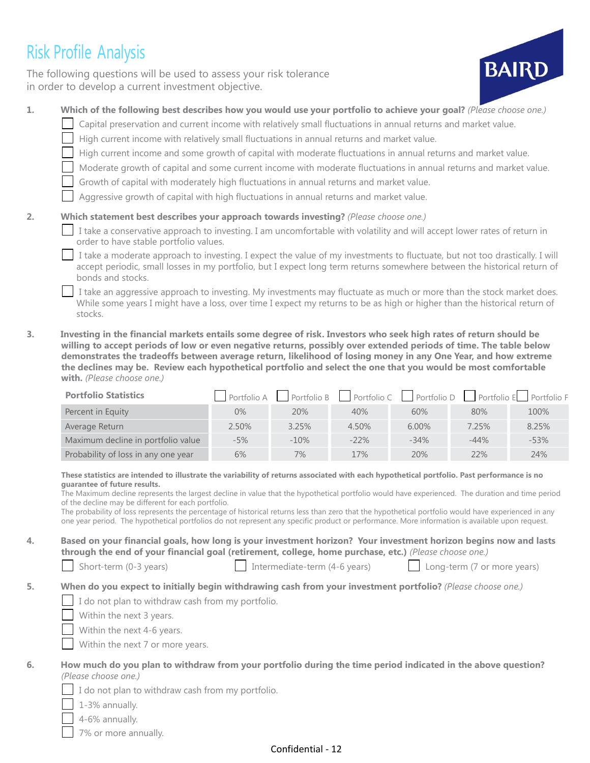# Risk Profile Analysis

The following questions will be used to assess your risk tolerance in order to develop a current investment objective.



- **1. Which of the following best describes how you would use your portfolio to achieve your goal?** *(Please choose one.)*
	- Capital preservation and current income with relatively small fluctuations in annual returns and market value.
		- High current income with relatively small fluctuations in annual returns and market value.
		- High current income and some growth of capital with moderate fluctuations in annual returns and market value.
		- Moderate growth of capital and some current income with moderate fluctuations in annual returns and market value.
		- Growth of capital with moderately high fluctuations in annual returns and market value.

Aggressive growth of capital with high fluctuations in annual returns and market value.

#### **2. Which statement best describes your approach towards investing?** *(Please choose one.)*

I take a conservative approach to investing. I am uncomfortable with volatility and will accept lower rates of return in order to have stable portfolio values.

I take a moderate approach to investing. I expect the value of my investments to fluctuate, but not too drastically. I will accept periodic, small losses in my portfolio, but I expect long term returns somewhere between the historical return of bonds and stocks.

I take an aggressive approach to investing. My investments may fluctuate as much or more than the stock market does. While some years I might have a loss, over time I expect my returns to be as high or higher than the historical return of stocks.

**3. Investing in the financial markets entails some degree of risk. Investors who seek high rates of return should be willing to accept periods of low or even negative returns, possibly over extended periods of time. The table below demonstrates the tradeoffs between average return, likelihood of losing money in any One Year, and how extreme the declines may be. Review each hypothetical portfolio and select the one that you would be most comfortable with.** *(Please choose one.)*

| <b>Portfolio Statistics</b>         |       |         |         |          |        | $\Box$ Portfolio A $\Box$ Portfolio B $\Box$ Portfolio C $\Box$ Portfolio D $\Box$ Portfolio E Portfolio F |
|-------------------------------------|-------|---------|---------|----------|--------|------------------------------------------------------------------------------------------------------------|
| Percent in Equity                   | $0\%$ | 20%     | 40%     | 60%      | 80%    | 100%                                                                                                       |
| Average Return                      | 2.50% | 3.25%   | 4.50%   | $6.00\%$ | 7.25%  | 8.25%                                                                                                      |
| Maximum decline in portfolio value  | $-5%$ | $-10\%$ | $-22\%$ | $-34%$   | $-44%$ | $-53%$                                                                                                     |
| Probability of loss in any one year | 6%    | 7%      | 17%     | 20%      | 22%    | 24%                                                                                                        |

#### **These statistics are intended to illustrate the variability of returns associated with each hypothetical portfolio. Past performance is no guarantee of future results.**

The Maximum decline represents the largest decline in value that the hypothetical portfolio would have experienced. The duration and time period of the decline may be different for each portfolio.

The probability of loss represents the percentage of historical returns less than zero that the hypothetical portfolio would have experienced in any one year period. The hypothetical portfolios do not represent any specific product or performance. More information is available upon request.

**4. Based on your financial goals, how long is your investment horizon? Your investment horizon begins now and lasts through the end of your financial goal (retirement, college, home purchase, etc.)** *(Please choose one.)*

Short-term (0-3 years) Intermediate-term (4-6 years) Long-term (7 or more years)

#### **5. When do you expect to initially begin withdrawing cash from your investment portfolio?** *(Please choose one.)*

I do not plan to withdraw cash from my portfolio.

Within the next 3 years.

Within the next 4-6 years.

Within the next 7 or more years.

#### **6. How much do you plan to withdraw from your portfolio during the time period indicated in the above question?** *(Please choose one.)*

I do not plan to withdraw cash from my portfolio.

1-3% annually.

4-6% annually.

7% or more annually.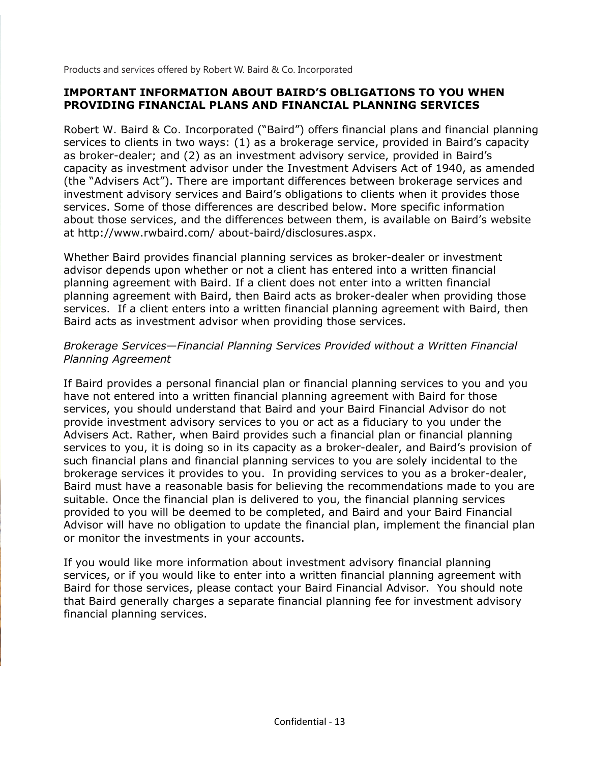Products and services offered by Robert W. Baird & Co. Incorporated

#### **IMPORTANT INFORMATION ABOUT BAIRD'S OBLIGATIONS TO YOU WHEN PROVIDING FINANCIAL PLANS AND FINANCIAL PLANNING SERVICES**

Robert W. Baird & Co. Incorporated ("Baird") offers financial plans and financial planning services to clients in two ways: (1) as a brokerage service, provided in Baird's capacity as broker-dealer; and (2) as an investment advisory service, provided in Baird's capacity as investment advisor under the Investment Advisers Act of 1940, as amended (the "Advisers Act"). There are important differences between brokerage services and investment advisory services and Baird's obligations to clients when it provides those services. Some of those differences are described below. More specific information about those services, and the differences between them, is available on Baird's website at http://www.rwbaird.com/ about-baird/disclosures.aspx.

Whether Baird provides financial planning services as broker-dealer or investment advisor depends upon whether or not a client has entered into a written financial planning agreement with Baird. If a client does not enter into a written financial planning agreement with Baird, then Baird acts as broker-dealer when providing those services. If a client enters into a written financial planning agreement with Baird, then Baird acts as investment advisor when providing those services.

#### *Brokerage Services—Financial Planning Services Provided without a Written Financial Planning Agreement*

If Baird provides a personal financial plan or financial planning services to you and you have not entered into a written financial planning agreement with Baird for those services, you should understand that Baird and your Baird Financial Advisor do not provide investment advisory services to you or act as a fiduciary to you under the Advisers Act. Rather, when Baird provides such a financial plan or financial planning services to you, it is doing so in its capacity as a broker-dealer, and Baird's provision of such financial plans and financial planning services to you are solely incidental to the brokerage services it provides to you. In providing services to you as a broker-dealer, Baird must have a reasonable basis for believing the recommendations made to you are suitable. Once the financial plan is delivered to you, the financial planning services provided to you will be deemed to be completed, and Baird and your Baird Financial Advisor will have no obligation to update the financial plan, implement the financial plan or monitor the investments in your accounts.

If you would like more information about investment advisory financial planning services, or if you would like to enter into a written financial planning agreement with Baird for those services, please contact your Baird Financial Advisor. You should note that Baird generally charges a separate financial planning fee for investment advisory financial planning services.